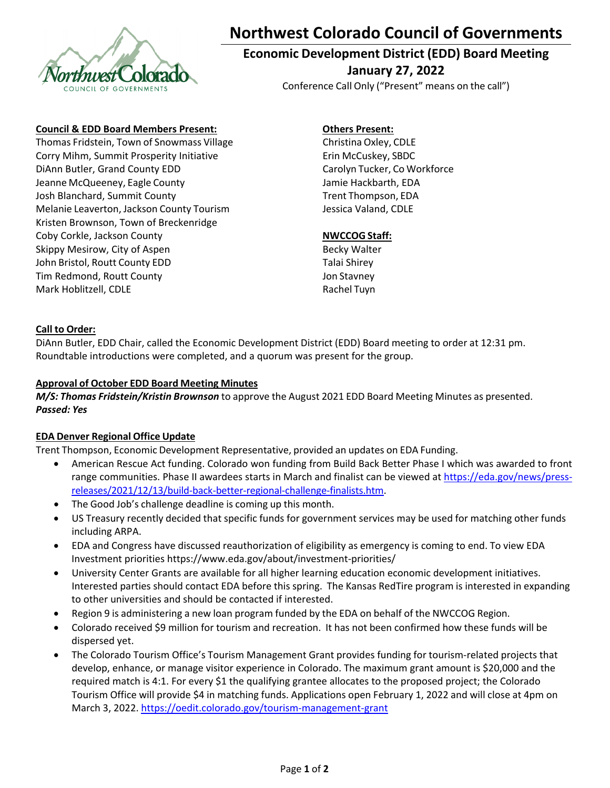

# NO**Northwest Colorado Council of Governments**

# **Economic Development District (EDD) Board Meeting January 27, 2022**

Conference Call Only ("Present" means on the call")

#### **Council & EDD Board Members Present:**

 Thomas Fridstein, Town of Snowmass Village Corry Mihm, Summit Prosperity Initiative DiAnn Butler, Grand County EDD Jeanne McQueeney, Eagle County Josh Blanchard, Summit County Melanie Leaverton, Jackson County Tourism Kristen Brownson, Town of Breckenridge Coby Corkle, Jackson County Skippy Mesirow, City of Aspen John Bristol, Routt County EDD Tim Redmond, Routt County Mark Hoblitzell, CDLE

## **Others Present:**

 Christina Oxley, CDLE Erin McCuskey, SBDC Carolyn Tucker, Co Workforce Jamie Hackbarth, EDA Trent Thompson, EDA Jessica Valand, CDLE

#### **NWCCOG Staff:**

 Becky Walter Talai Shirey Jon Stavney Rachel Tuyn

#### **Call to Order:**

DiAnn Butler, EDD Chair, called the Economic Development District (EDD) Board meeting to order at 12:31 pm. Roundtable introductions were completed, and a quorum was present for the group.

#### **Approval of October EDD Board Meeting Minutes**

*M/S: Thomas Fridstein/Kristin Brownson* to approve the August 2021 EDD Board Meeting Minutes as presented. *Passed: Yes*

#### **EDA Denver Regional Office Update**

Trent Thompson, Economic Development Representative, provided an updates on EDA Funding.

- American Rescue Act funding. Colorado won funding from Build Back Better Phase I which was awarded to front range communities. Phase II awardees starts in March and finalist can be viewed at <https://eda.gov/news/press>‐ releases/2021/12/13/build‐back‐better‐regional‐challenge‐finalists.htm.
- The Good Job's challenge deadline is coming up this month.
- US Treasury recently decided that specific funds for government services may be used for matching other funds including ARPA.
- EDA and Congress have discussed reauthorization of eligibility as emergency is coming to end. To view EDA Investment priorities [https://www.eda.gov/about/investment](https://www.eda.gov/about/investment-priorities)‐priorities/
- University Center Grants are available for all higher learning education economic development initiatives. Interested parties should contact EDA before this spring. The Kansas RedTire program is interested in expanding to other universities and should be contacted if interested.
- Region 9 is administering a new loan program funded by the EDA on behalf of the NWCCOG Region.
- Colorado received \$9 million for tourism and recreation. It has not been confirmed how these funds will be dispersed yet.
- The Colorado Tourism Office's Tourism Management Grant provides funding for tourism‐related projects that develop, enhance, or manage visitor experience in Colorado. The maximum grant amount is \$20,000 and the required match is 4:1. For every \$1 the qualifying grantee allocates to the proposed project; the Colorado Tourism Office will provide \$4 in matching funds. Applications open February 1, 2022 and will close at 4pm on March 3, 2022. [https://oedit.colorado.gov/tourism](https://oedit.colorado.gov/tourism-management-grant)‐management‐grant